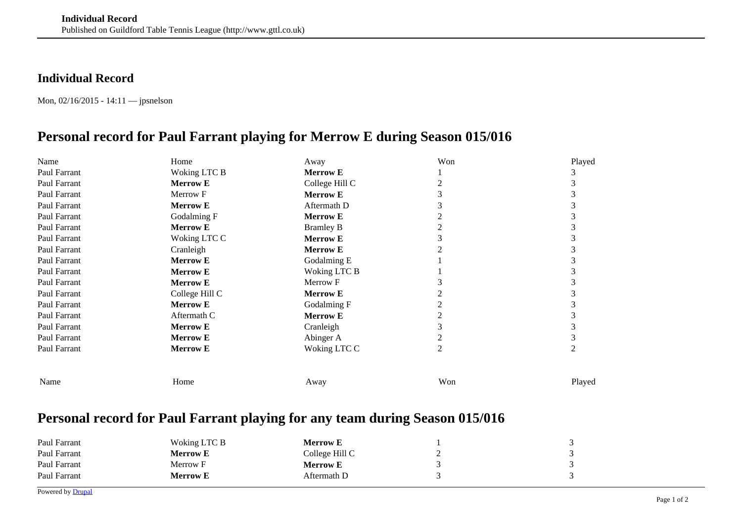## **Individual Record**

Mon, 02/16/2015 - 14:11 — jpsnelson

## **Personal record for Paul Farrant playing for Merrow E during Season 015/016**

| Name         | Home            | Away             | Won            | Played |
|--------------|-----------------|------------------|----------------|--------|
| Paul Farrant | Woking LTC B    | <b>Merrow E</b>  |                |        |
| Paul Farrant | <b>Merrow E</b> | College Hill C   |                |        |
| Paul Farrant | Merrow F        | <b>Merrow E</b>  |                |        |
| Paul Farrant | <b>Merrow E</b> | Aftermath D      |                |        |
| Paul Farrant | Godalming F     | <b>Merrow E</b>  |                |        |
| Paul Farrant | <b>Merrow E</b> | <b>Bramley B</b> |                |        |
| Paul Farrant | Woking LTC C    | <b>Merrow E</b>  |                |        |
| Paul Farrant | Cranleigh       | <b>Merrow E</b>  |                |        |
| Paul Farrant | <b>Merrow E</b> | Godalming E      |                |        |
| Paul Farrant | <b>Merrow E</b> | Woking LTC B     |                |        |
| Paul Farrant | <b>Merrow E</b> | Merrow F         |                |        |
| Paul Farrant | College Hill C  | <b>Merrow E</b>  |                |        |
| Paul Farrant | <b>Merrow E</b> | Godalming F      |                |        |
| Paul Farrant | Aftermath C     | <b>Merrow E</b>  |                |        |
| Paul Farrant | <b>Merrow E</b> | Cranleigh        |                |        |
| Paul Farrant | <b>Merrow E</b> | Abinger A        |                |        |
| Paul Farrant | <b>Merrow E</b> | Woking LTC C     | $\overline{2}$ | 2      |
| Name         | Home            | Away             | Won            | Played |
|              |                 |                  |                |        |

## **Personal record for Paul Farrant playing for any team during Season 015/016**

| Paul Farrant | Woking LTC B    | <b>Merrow E</b> |  |
|--------------|-----------------|-----------------|--|
| Paul Farrant | <b>Merrow E</b> | College Hill C  |  |
| Paul Farrant | Merrow F        | <b>Merrow E</b> |  |
| Paul Farrant | Merrow E        | Aftermath D     |  |